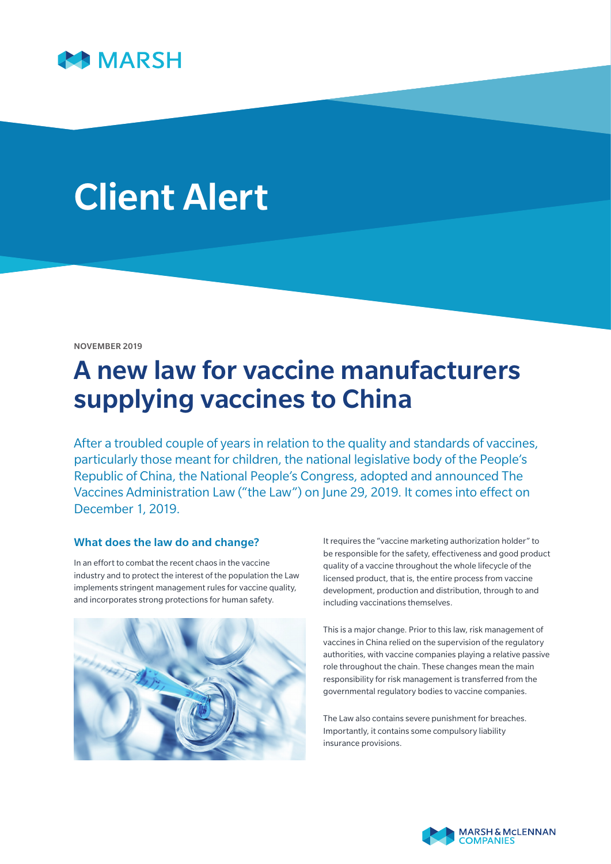

# Client Alert

#### NOVEMBER 2019

# A new law for vaccine manufacturers supplying vaccines to China

After a troubled couple of years in relation to the quality and standards of vaccines, particularly those meant for children, the national legislative body of the People's Republic of China, the National People's Congress, adopted and announced The Vaccines Administration Law ("the Law") on June 29, 2019. It comes into effect on December 1, 2019.

# What does the law do and change?

In an effort to combat the recent chaos in the vaccine industry and to protect the interest of the population the Law implements stringent management rules for vaccine quality, and incorporates strong protections for human safety.



It requires the "vaccine marketing authorization holder" to be responsible for the safety, effectiveness and good product quality of a vaccine throughout the whole lifecycle of the licensed product, that is, the entire process from vaccine development, production and distribution, through to and including vaccinations themselves.

This is a major change. Prior to this law, risk management of vaccines in China relied on the supervision of the regulatory authorities, with vaccine companies playing a relative passive role throughout the chain. These changes mean the main responsibility for risk management is transferred from the governmental regulatory bodies to vaccine companies.

The Law also contains severe punishment for breaches. Importantly, it contains some compulsory liability insurance provisions.